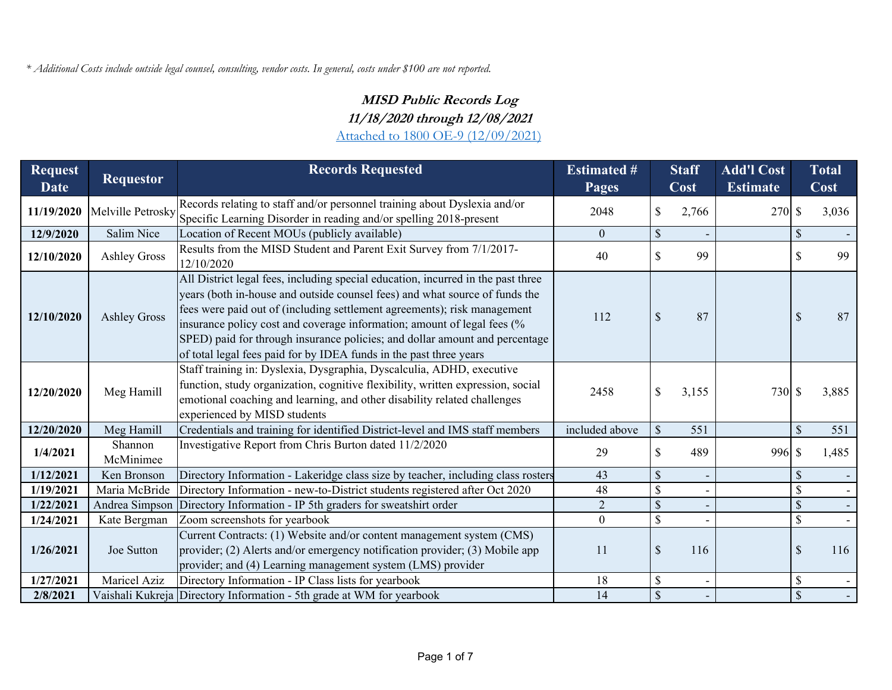*\* Additional Costs include outside legal counsel, consulting, vendor costs. In general, costs under \$100 are not reported.* 

## **MISD Public Records Log 11/18/2020 through 12/08/2021**

Attached to 1800 OE-9 (12/09/2021)

| <b>Request</b><br><b>Date</b> | <b>Requestor</b>     | <b>Records Requested</b>                                                                                                                                                                                                                                                                                                                                                                                                                                                    | <b>Estimated #</b><br><b>Pages</b> | <b>Staff</b><br>Cost |       | <b>Add'l Cost</b><br><b>Estimate</b> |               | <b>Total</b><br>Cost |
|-------------------------------|----------------------|-----------------------------------------------------------------------------------------------------------------------------------------------------------------------------------------------------------------------------------------------------------------------------------------------------------------------------------------------------------------------------------------------------------------------------------------------------------------------------|------------------------------------|----------------------|-------|--------------------------------------|---------------|----------------------|
| 11/19/2020                    | Melville Petrosky    | Records relating to staff and/or personnel training about Dyslexia and/or<br>Specific Learning Disorder in reading and/or spelling 2018-present                                                                                                                                                                                                                                                                                                                             | 2048                               | \$                   | 2,766 | 270S                                 |               | 3,036                |
| 12/9/2020                     | Salim Nice           | Location of Recent MOUs (publicly available)                                                                                                                                                                                                                                                                                                                                                                                                                                | $\boldsymbol{0}$                   | \$                   |       |                                      | \$            |                      |
| 12/10/2020                    | <b>Ashley Gross</b>  | Results from the MISD Student and Parent Exit Survey from 7/1/2017-<br>12/10/2020                                                                                                                                                                                                                                                                                                                                                                                           | 40                                 | \$                   | 99    |                                      | S             | 99                   |
| 12/10/2020                    | <b>Ashley Gross</b>  | All District legal fees, including special education, incurred in the past three<br>years (both in-house and outside counsel fees) and what source of funds the<br>fees were paid out of (including settlement agreements); risk management<br>insurance policy cost and coverage information; amount of legal fees (%<br>SPED) paid for through insurance policies; and dollar amount and percentage<br>of total legal fees paid for by IDEA funds in the past three years | 112                                | \$                   | 87    |                                      | \$            | 87                   |
| 12/20/2020                    | Meg Hamill           | Staff training in: Dyslexia, Dysgraphia, Dyscalculia, ADHD, executive<br>function, study organization, cognitive flexibility, written expression, social<br>emotional coaching and learning, and other disability related challenges<br>experienced by MISD students                                                                                                                                                                                                        | 2458                               | \$                   | 3,155 | 730 \$                               |               | 3,885                |
| 12/20/2020                    | Meg Hamill           | Credentials and training for identified District-level and IMS staff members                                                                                                                                                                                                                                                                                                                                                                                                | included above                     | $\mathcal{S}$        | 551   |                                      |               | 551                  |
| 1/4/2021                      | Shannon<br>McMinimee | Investigative Report from Chris Burton dated 11/2/2020                                                                                                                                                                                                                                                                                                                                                                                                                      | 29                                 | \$                   | 489   | 996 \$                               |               | 1,485                |
| 1/12/2021                     | Ken Bronson          | Directory Information - Lakeridge class size by teacher, including class rosters                                                                                                                                                                                                                                                                                                                                                                                            | 43                                 |                      |       |                                      | S             |                      |
| 1/19/2021                     | Maria McBride        | Directory Information - new-to-District students registered after Oct 2020                                                                                                                                                                                                                                                                                                                                                                                                  | 48                                 |                      |       |                                      | \$            |                      |
| 1/22/2021                     | Andrea Simpson       | Directory Information - IP 5th graders for sweatshirt order                                                                                                                                                                                                                                                                                                                                                                                                                 | $\overline{2}$                     | \$                   |       |                                      | \$            |                      |
| 1/24/2021                     | Kate Bergman         | Zoom screenshots for yearbook                                                                                                                                                                                                                                                                                                                                                                                                                                               | $\boldsymbol{0}$                   | \$                   |       |                                      | \$            |                      |
| 1/26/2021                     | Joe Sutton           | Current Contracts: (1) Website and/or content management system (CMS)<br>provider; (2) Alerts and/or emergency notification provider; (3) Mobile app<br>provider; and (4) Learning management system (LMS) provider                                                                                                                                                                                                                                                         | 11                                 | \$                   | 116   |                                      | \$            | 116                  |
| 1/27/2021                     | Maricel Aziz         | Directory Information - IP Class lists for yearbook                                                                                                                                                                                                                                                                                                                                                                                                                         | 18                                 | \$                   |       |                                      | \$            | $\sim$               |
| 2/8/2021                      |                      | Vaishali Kukreja Directory Information - 5th grade at WM for yearbook                                                                                                                                                                                                                                                                                                                                                                                                       | 14                                 | $\mathcal{S}$        |       |                                      | $\mathcal{S}$ |                      |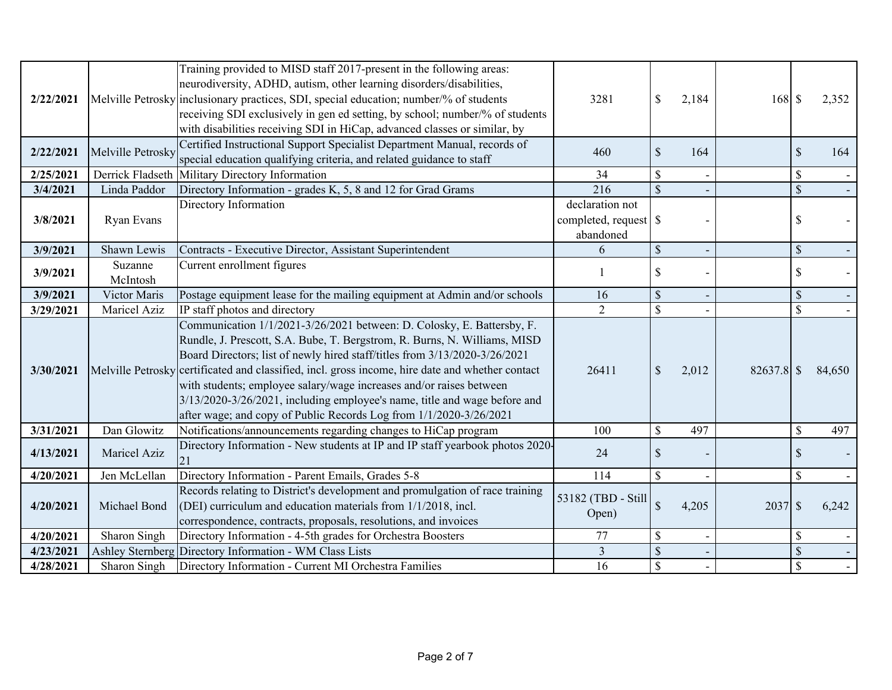| 2/22/2021 |                     | Training provided to MISD staff 2017-present in the following areas:<br>neurodiversity, ADHD, autism, other learning disorders/disabilities,<br>Melville Petrosky inclusionary practices, SDI, special education; number/% of students<br>receiving SDI exclusively in gen ed setting, by school; number/% of students<br>with disabilities receiving SDI in HiCap, advanced classes or similar, by                                                                                                                                                             | 3281                         | $\mathcal{S}$ | 2,184 | $168$ \$     |                           | 2,352  |
|-----------|---------------------|-----------------------------------------------------------------------------------------------------------------------------------------------------------------------------------------------------------------------------------------------------------------------------------------------------------------------------------------------------------------------------------------------------------------------------------------------------------------------------------------------------------------------------------------------------------------|------------------------------|---------------|-------|--------------|---------------------------|--------|
| 2/22/2021 | Melville Petrosky   | Certified Instructional Support Specialist Department Manual, records of<br>special education qualifying criteria, and related guidance to staff                                                                                                                                                                                                                                                                                                                                                                                                                | 460                          | $\mathcal{S}$ | 164   |              | $\mathcal{S}$             | 164    |
| 2/25/2021 |                     | Derrick Fladseth Military Directory Information                                                                                                                                                                                                                                                                                                                                                                                                                                                                                                                 | 34                           | \$            |       |              | $\mathbb{S}$              |        |
| 3/4/2021  | Linda Paddor        | Directory Information - grades K, 5, 8 and 12 for Grad Grams                                                                                                                                                                                                                                                                                                                                                                                                                                                                                                    | 216                          | $\mathcal{S}$ |       |              | $\boldsymbol{\mathsf{S}}$ |        |
| 3/8/2021  | Ryan Evans          | Directory Information                                                                                                                                                                                                                                                                                                                                                                                                                                                                                                                                           | declaration not<br>abandoned |               |       |              | \$                        |        |
| 3/9/2021  | Shawn Lewis         | Contracts - Executive Director, Assistant Superintendent                                                                                                                                                                                                                                                                                                                                                                                                                                                                                                        | 6                            | $\mathcal{S}$ |       |              | $\mathcal{S}$             |        |
| 3/9/2021  | Suzanne<br>McIntosh | Current enrollment figures                                                                                                                                                                                                                                                                                                                                                                                                                                                                                                                                      |                              | \$            |       |              | \$                        |        |
| 3/9/2021  | Victor Maris        | Postage equipment lease for the mailing equipment at Admin and/or schools                                                                                                                                                                                                                                                                                                                                                                                                                                                                                       | 16                           | $\mathcal{S}$ |       |              | $\mathcal{S}$             |        |
| 3/29/2021 | Maricel Aziz        | IP staff photos and directory                                                                                                                                                                                                                                                                                                                                                                                                                                                                                                                                   | $\overline{2}$               | \$            |       |              | $\mathbf{\hat{S}}$        |        |
| 3/30/2021 |                     | Communication 1/1/2021-3/26/2021 between: D. Colosky, E. Battersby, F.<br>Rundle, J. Prescott, S.A. Bube, T. Bergstrom, R. Burns, N. Williams, MISD<br>Board Directors; list of newly hired staff/titles from 3/13/2020-3/26/2021<br>Melville Petrosky certificated and classified, incl. gross income, hire date and whether contact<br>with students; employee salary/wage increases and/or raises between<br>3/13/2020-3/26/2021, including employee's name, title and wage before and<br>after wage; and copy of Public Records Log from 1/1/2020-3/26/2021 | 26411                        | $\mathcal{S}$ | 2,012 | $82637.8$ \$ |                           | 84,650 |
| 3/31/2021 | Dan Glowitz         | Notifications/announcements regarding changes to HiCap program                                                                                                                                                                                                                                                                                                                                                                                                                                                                                                  | 100                          | \$            | 497   |              | $\mathbb{S}$              | 497    |
| 4/13/2021 | Maricel Aziz        | Directory Information - New students at IP and IP staff yearbook photos 2020-<br>21                                                                                                                                                                                                                                                                                                                                                                                                                                                                             | 24                           | \$            |       |              | \$                        |        |
| 4/20/2021 | Jen McLellan        | Directory Information - Parent Emails, Grades 5-8                                                                                                                                                                                                                                                                                                                                                                                                                                                                                                               | 114                          | \$            |       |              | $\mathbf S$               |        |
| 4/20/2021 | Michael Bond        | Records relating to District's development and promulgation of race training<br>(DEI) curriculum and education materials from $1/1/2018$ , incl.<br>correspondence, contracts, proposals, resolutions, and invoices                                                                                                                                                                                                                                                                                                                                             | 53182 (TBD - Still<br>Open)  | $\sqrt{\ }$   | 4,205 | $2037$ \$    |                           | 6,242  |
| 4/20/2021 | Sharon Singh        | Directory Information - 4-5th grades for Orchestra Boosters                                                                                                                                                                                                                                                                                                                                                                                                                                                                                                     | 77                           | \$            |       |              | \$                        |        |
| 4/23/2021 |                     | Ashley Sternberg Directory Information - WM Class Lists                                                                                                                                                                                                                                                                                                                                                                                                                                                                                                         | $\mathfrak{Z}$               | $\mathcal{S}$ |       |              | \$                        |        |
| 4/28/2021 | Sharon Singh        | Directory Information - Current MI Orchestra Families                                                                                                                                                                                                                                                                                                                                                                                                                                                                                                           | 16                           |               |       |              | $\mathbf{\hat{S}}$        |        |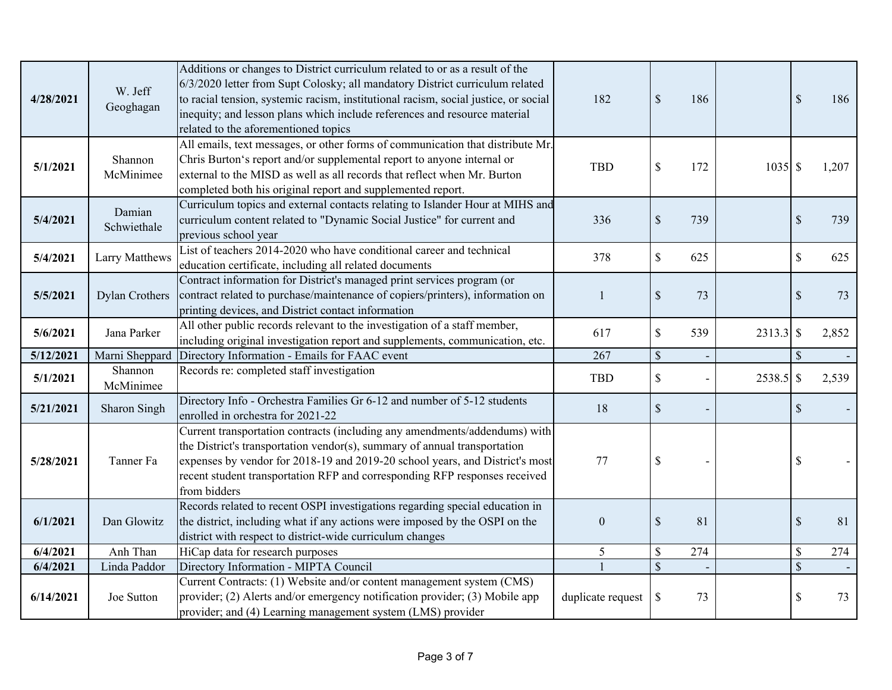| 4/28/2021 | W. Jeff<br>Geoghagan  | Additions or changes to District curriculum related to or as a result of the<br>6/3/2020 letter from Supt Colosky; all mandatory District curriculum related<br>to racial tension, systemic racism, institutional racism, social justice, or social<br>inequity; and lesson plans which include references and resource material<br>related to the aforementioned topics | 182               | $\mathcal{S}$             | 186 |             | $\mathcal{S}$ | 186   |
|-----------|-----------------------|--------------------------------------------------------------------------------------------------------------------------------------------------------------------------------------------------------------------------------------------------------------------------------------------------------------------------------------------------------------------------|-------------------|---------------------------|-----|-------------|---------------|-------|
| 5/1/2021  | Shannon<br>McMinimee  | All emails, text messages, or other forms of communication that distribute Mr.<br>Chris Burton's report and/or supplemental report to anyone internal or<br>external to the MISD as well as all records that reflect when Mr. Burton<br>completed both his original report and supplemented report.                                                                      | <b>TBD</b>        | $\$$                      | 172 | $1035$ \$   |               | 1,207 |
| 5/4/2021  | Damian<br>Schwiethale | Curriculum topics and external contacts relating to Islander Hour at MIHS and<br>curriculum content related to "Dynamic Social Justice" for current and<br>previous school year                                                                                                                                                                                          | 336               | $\$$                      | 739 |             | $\mathcal{S}$ | 739   |
| 5/4/2021  | Larry Matthews        | List of teachers 2014-2020 who have conditional career and technical<br>education certificate, including all related documents                                                                                                                                                                                                                                           | 378               | \$                        | 625 |             | $\mathcal{S}$ | 625   |
| 5/5/2021  | <b>Dylan Crothers</b> | Contract information for District's managed print services program (or<br>contract related to purchase/maintenance of copiers/printers), information on<br>printing devices, and District contact information                                                                                                                                                            | 1                 | $\boldsymbol{\mathsf{S}}$ | 73  |             | \$            | 73    |
| 5/6/2021  | Jana Parker           | All other public records relevant to the investigation of a staff member,<br>including original investigation report and supplements, communication, etc.                                                                                                                                                                                                                | 617               | $\boldsymbol{\mathsf{S}}$ | 539 | $2313.3$ \$ |               | 2,852 |
| 5/12/2021 | Marni Sheppard        | Directory Information - Emails for FAAC event                                                                                                                                                                                                                                                                                                                            | 267               | $\mathcal{S}$             |     |             | $\mathcal{S}$ |       |
| 5/1/2021  | Shannon<br>McMinimee  | Records re: completed staff investigation                                                                                                                                                                                                                                                                                                                                | <b>TBD</b>        | \$                        |     | 2538.5 \$   |               | 2,539 |
| 5/21/2021 | Sharon Singh          | Directory Info - Orchestra Families Gr 6-12 and number of 5-12 students<br>enrolled in orchestra for 2021-22                                                                                                                                                                                                                                                             | 18                | $\mathcal{S}$             |     |             | $\mathcal{S}$ |       |
| 5/28/2021 | Tanner Fa             | Current transportation contracts (including any amendments/addendums) with<br>the District's transportation vendor(s), summary of annual transportation<br>expenses by vendor for 2018-19 and 2019-20 school years, and District's most<br>recent student transportation RFP and corresponding RFP responses received<br>from bidders                                    | 77                | $\boldsymbol{\mathsf{S}}$ |     |             | \$            |       |
| 6/1/2021  | Dan Glowitz           | Records related to recent OSPI investigations regarding special education in<br>the district, including what if any actions were imposed by the OSPI on the<br>district with respect to district-wide curriculum changes                                                                                                                                                 | $\boldsymbol{0}$  | $\mathcal{S}$             | 81  |             | $\mathcal{S}$ | 81    |
| 6/4/2021  | Anh Than              | HiCap data for research purposes                                                                                                                                                                                                                                                                                                                                         | 5                 | \$                        | 274 |             | $\mathbb{S}$  | 274   |
| 6/4/2021  | Linda Paddor          | Directory Information - MIPTA Council                                                                                                                                                                                                                                                                                                                                    |                   | $\overline{\mathcal{S}}$  |     |             | $\mathcal{S}$ |       |
| 6/14/2021 | Joe Sutton            | Current Contracts: (1) Website and/or content management system (CMS)<br>provider; (2) Alerts and/or emergency notification provider; (3) Mobile app<br>provider; and (4) Learning management system (LMS) provider                                                                                                                                                      | duplicate request | \$                        | 73  |             | \$            | 73    |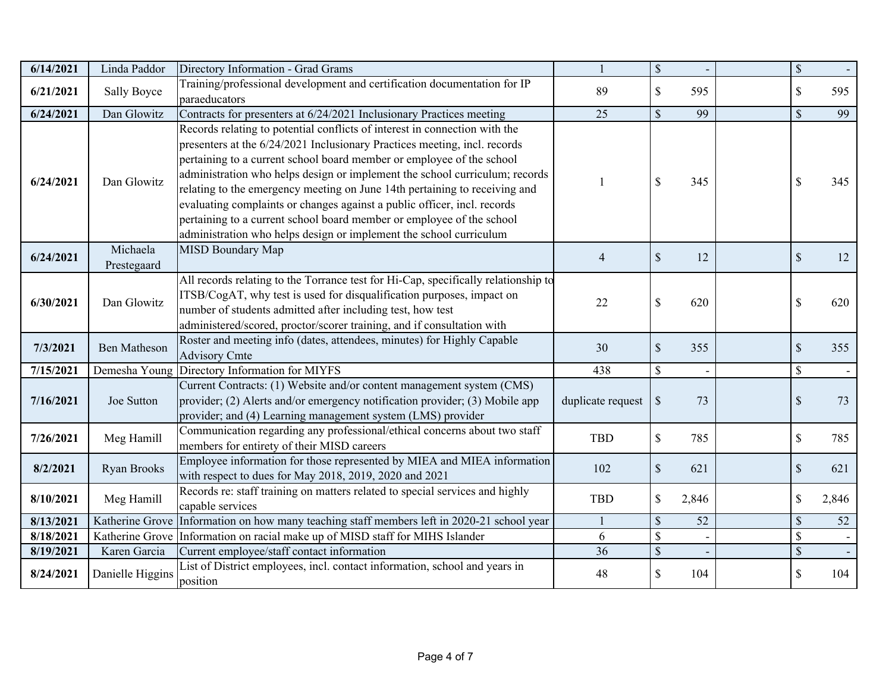| 6/14/2021 | Linda Paddor            | Directory Information - Grad Grams                                                                                                                                                                                                                                                                                                                                                                                                                                                                                                                                                                                       |                   | $\mathcal{S}$             |       | $\mathcal{S}$             |       |
|-----------|-------------------------|--------------------------------------------------------------------------------------------------------------------------------------------------------------------------------------------------------------------------------------------------------------------------------------------------------------------------------------------------------------------------------------------------------------------------------------------------------------------------------------------------------------------------------------------------------------------------------------------------------------------------|-------------------|---------------------------|-------|---------------------------|-------|
| 6/21/2021 | <b>Sally Boyce</b>      | Training/professional development and certification documentation for IP<br>paraeducators                                                                                                                                                                                                                                                                                                                                                                                                                                                                                                                                | 89                | $\mathcal{S}$             | 595   | \$                        | 595   |
| 6/24/2021 | Dan Glowitz             | Contracts for presenters at 6/24/2021 Inclusionary Practices meeting                                                                                                                                                                                                                                                                                                                                                                                                                                                                                                                                                     | 25                | $\mathsf{\$}$             | 99    | $\mathcal{S}$             | 99    |
| 6/24/2021 | Dan Glowitz             | Records relating to potential conflicts of interest in connection with the<br>presenters at the 6/24/2021 Inclusionary Practices meeting, incl. records<br>pertaining to a current school board member or employee of the school<br>administration who helps design or implement the school curriculum; records<br>relating to the emergency meeting on June 14th pertaining to receiving and<br>evaluating complaints or changes against a public officer, incl. records<br>pertaining to a current school board member or employee of the school<br>administration who helps design or implement the school curriculum |                   | $\mathcal{S}$             | 345   | $\mathcal{S}$             | 345   |
| 6/24/2021 | Michaela<br>Prestegaard | <b>MISD Boundary Map</b>                                                                                                                                                                                                                                                                                                                                                                                                                                                                                                                                                                                                 | $\overline{4}$    | $\mathcal{S}$             | 12    | $\mathcal{S}$             | 12    |
| 6/30/2021 | Dan Glowitz             | All records relating to the Torrance test for Hi-Cap, specifically relationship to<br>ITSB/CogAT, why test is used for disqualification purposes, impact on<br>number of students admitted after including test, how test<br>administered/scored, proctor/scorer training, and if consultation with                                                                                                                                                                                                                                                                                                                      | 22                | $\mathcal{S}$             | 620   | \$                        | 620   |
| 7/3/2021  | <b>Ben Matheson</b>     | Roster and meeting info (dates, attendees, minutes) for Highly Capable<br><b>Advisory Cmte</b>                                                                                                                                                                                                                                                                                                                                                                                                                                                                                                                           | 30                | $\mathcal{S}$             | 355   | $\mathcal{S}$             | 355   |
| 7/15/2021 | Demesha Young           | Directory Information for MIYFS                                                                                                                                                                                                                                                                                                                                                                                                                                                                                                                                                                                          | 438               | \$                        |       | $\boldsymbol{\mathsf{S}}$ |       |
| 7/16/2021 | Joe Sutton              | Current Contracts: (1) Website and/or content management system (CMS)<br>provider; (2) Alerts and/or emergency notification provider; (3) Mobile app<br>provider; and (4) Learning management system (LMS) provider                                                                                                                                                                                                                                                                                                                                                                                                      | duplicate request | $\mathcal{S}$             | 73    | $\mathcal{S}$             | 73    |
| 7/26/2021 | Meg Hamill              | Communication regarding any professional/ethical concerns about two staff<br>members for entirety of their MISD careers                                                                                                                                                                                                                                                                                                                                                                                                                                                                                                  | <b>TBD</b>        | $\mathcal{S}$             | 785   | \$                        | 785   |
| 8/2/2021  | Ryan Brooks             | Employee information for those represented by MIEA and MIEA information<br>with respect to dues for May 2018, 2019, 2020 and 2021                                                                                                                                                                                                                                                                                                                                                                                                                                                                                        | 102               | $\boldsymbol{\mathsf{S}}$ | 621   | $\mathcal{S}$             | 621   |
| 8/10/2021 | Meg Hamill              | Records re: staff training on matters related to special services and highly<br>capable services                                                                                                                                                                                                                                                                                                                                                                                                                                                                                                                         | <b>TBD</b>        | $\boldsymbol{\mathsf{S}}$ | 2,846 | \$                        | 2,846 |
| 8/13/2021 |                         | Katherine Grove Information on how many teaching staff members left in 2020-21 school year                                                                                                                                                                                                                                                                                                                                                                                                                                                                                                                               |                   | $\mathcal{S}$             | 52    | $\mathcal{S}$             | 52    |
| 8/18/2021 |                         | Katherine Grove Information on racial make up of MISD staff for MIHS Islander                                                                                                                                                                                                                                                                                                                                                                                                                                                                                                                                            | 6                 | $\boldsymbol{\mathsf{S}}$ |       | $\$$                      |       |
| 8/19/2021 | Karen Garcia            | Current employee/staff contact information                                                                                                                                                                                                                                                                                                                                                                                                                                                                                                                                                                               | 36                | $\mathcal{S}$             |       | $\mathcal{S}$             |       |
| 8/24/2021 | Danielle Higgins        | List of District employees, incl. contact information, school and years in<br>position                                                                                                                                                                                                                                                                                                                                                                                                                                                                                                                                   | 48                | $\boldsymbol{\mathsf{S}}$ | 104   | $\mathcal{S}$             | 104   |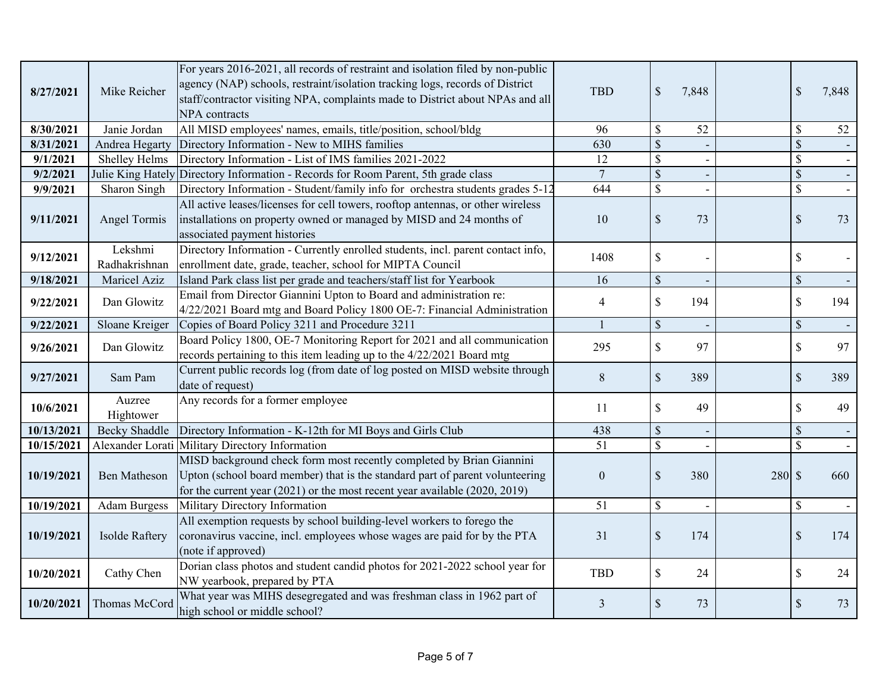| 8/27/2021  | Mike Reicher             | For years 2016-2021, all records of restraint and isolation filed by non-public<br>agency (NAP) schools, restraint/isolation tracking logs, records of District<br>staff/contractor visiting NPA, complaints made to District about NPAs and all<br>NPA contracts | <b>TBD</b>     | $\sqrt{3}$                | 7,848 |        |               | 7,848 |
|------------|--------------------------|-------------------------------------------------------------------------------------------------------------------------------------------------------------------------------------------------------------------------------------------------------------------|----------------|---------------------------|-------|--------|---------------|-------|
| 8/30/2021  | Janie Jordan             | All MISD employees' names, emails, title/position, school/bldg                                                                                                                                                                                                    | 96             | $\mathcal{S}$             | 52    |        | \$            | 52    |
| 8/31/2021  | Andrea Hegarty           | Directory Information - New to MIHS families                                                                                                                                                                                                                      | 630            | $\mathcal{S}$             |       |        | \$            |       |
| 9/1/2021   | Shelley Helms            | Directory Information - List of IMS families 2021-2022                                                                                                                                                                                                            | 12             | $\mathcal{S}$             |       |        | \$            |       |
| 9/2/2021   |                          | Julie King Hately Directory Information - Records for Room Parent, 5th grade class                                                                                                                                                                                | $\overline{7}$ | $\mathcal{S}$             |       |        | \$            |       |
| 9/9/2021   | Sharon Singh             | Directory Information - Student/family info for orchestra students grades 5-12                                                                                                                                                                                    | 644            | $\mathcal{S}$             |       |        | \$            |       |
| 9/11/2021  | <b>Angel Tormis</b>      | All active leases/licenses for cell towers, rooftop antennas, or other wireless<br>installations on property owned or managed by MISD and 24 months of<br>associated payment histories                                                                            | 10             | $\mathcal{S}$             | 73    |        | \$            | 73    |
| 9/12/2021  | Lekshmi<br>Radhakrishnan | Directory Information - Currently enrolled students, incl. parent contact info,<br>enrollment date, grade, teacher, school for MIPTA Council                                                                                                                      | 1408           | $\boldsymbol{\mathsf{S}}$ |       |        | \$            |       |
| 9/18/2021  | Maricel Aziz             | Island Park class list per grade and teachers/staff list for Yearbook                                                                                                                                                                                             | 16             | $\mathcal{S}$             |       |        | \$            |       |
| 9/22/2021  | Dan Glowitz              | Email from Director Giannini Upton to Board and administration re:<br>4/22/2021 Board mtg and Board Policy 1800 OE-7: Financial Administration                                                                                                                    | $\overline{4}$ | $\mathbf{\hat{S}}$        | 194   |        | \$            | 194   |
| 9/22/2021  | Sloane Kreiger           | Copies of Board Policy 3211 and Procedure 3211                                                                                                                                                                                                                    |                | $\mathcal{S}$             |       |        | $\mathsf{\$}$ |       |
| 9/26/2021  | Dan Glowitz              | Board Policy 1800, OE-7 Monitoring Report for 2021 and all communication<br>records pertaining to this item leading up to the 4/22/2021 Board mtg                                                                                                                 | 295            | $\$$                      | 97    |        | \$            | 97    |
| 9/27/2021  | Sam Pam                  | Current public records log (from date of log posted on MISD website through<br>date of request)                                                                                                                                                                   | 8              | $\sqrt{\ }$               | 389   |        | $\mathcal{S}$ | 389   |
| 10/6/2021  | Auzree<br>Hightower      | Any records for a former employee                                                                                                                                                                                                                                 | 11             | $\mathsf{\$}$             | 49    |        |               | 49    |
| 10/13/2021 | <b>Becky Shaddle</b>     | Directory Information - K-12th for MI Boys and Girls Club                                                                                                                                                                                                         | 438            | $\mathcal{S}$             |       |        |               |       |
| 10/15/2021 | Alexander Lorati         | Military Directory Information                                                                                                                                                                                                                                    | 51             | $\mathbf S$               |       |        |               |       |
| 10/19/2021 | <b>Ben Matheson</b>      | MISD background check form most recently completed by Brian Giannini<br>Upton (school board member) that is the standard part of parent volunteering<br>for the current year (2021) or the most recent year available (2020, 2019)                                | $\mathbf{0}$   | $\mathcal{S}$             | 380   | 280 \$ |               | 660   |
| 10/19/2021 | <b>Adam Burgess</b>      | Military Directory Information                                                                                                                                                                                                                                    | 51             | $\mathcal{S}$             |       |        | \$            |       |
| 10/19/2021 | Isolde Raftery           | All exemption requests by school building-level workers to forego the<br>coronavirus vaccine, incl. employees whose wages are paid for by the PTA<br>(note if approved)                                                                                           | 31             | $\mathbb{S}$              | 174   |        | \$            | 174   |
| 10/20/2021 | Cathy Chen               | Dorian class photos and student candid photos for 2021-2022 school year for<br>NW yearbook, prepared by PTA                                                                                                                                                       | <b>TBD</b>     | $\mathbf{\hat{S}}$        | 24    |        | \$            | 24    |
| 10/20/2021 | Thomas McCord            | What year was MIHS desegregated and was freshman class in 1962 part of<br>high school or middle school?                                                                                                                                                           | 3              | $\mathcal{S}$             | 73    |        | $\mathcal{S}$ | 73    |